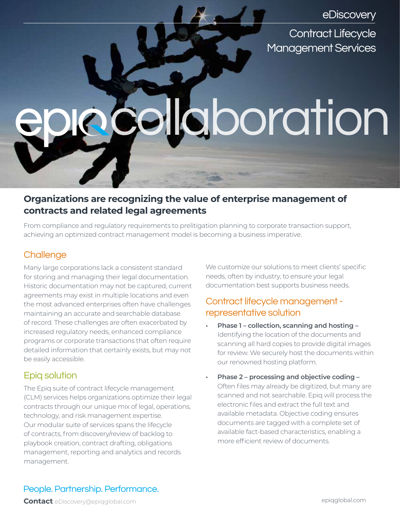eDiscovery

Contract Lifecycle Management Services

# laboration

# **Organizations are recognizing the value of enterprise management of contracts and related legal agreements**

From compliance and regulatory requirements to prelitigation planning to corporate transaction support, achieving an optimized contract management model is becoming a business imperative.

## **Challenge**

Many large corporations lack a consistent standard for storing and managing their legal documentation. Historic documentation may not be captured, current agreements may exist in multiple locations and even the most advanced enterprises often have challenges maintaining an accurate and searchable database of record. These challenges are often exacerbated by increased regulatory needs, enhanced compliance programs or corporate transactions that often require detailed information that certainly exists, but may not be easily accessible.

## Epiq solution

The Epiq suite of contract lifecycle management (CLM) services helps organizations optimize their legal contracts through our unique mix of legal, operations, technology, and risk management expertise. Our modular suite of services spans the lifecycle of contracts, from discovery/review of backlog to playbook creation, contract drafting, obligations management, reporting and analytics and records management.

We customize our solutions to meet clients' specific needs, often by industry, to ensure your legal documentation best supports business needs.

### Contract lifecycle management representative solution

- **• Phase 1 collection, scanning and hosting –** Identifying the location of the documents and scanning all hard copies to provide digital images for review. We securely host the documents within our renowned hosting platform.
- **• Phase 2 processing and objective coding –** Often files may already be digitized, but many are scanned and not searchable. Epiq will process the electronic files and extract the full text and available metadata. Objective coding ensures documents are tagged with a complete set of available fact-based characteristics, enabling a more efficient review of documents.